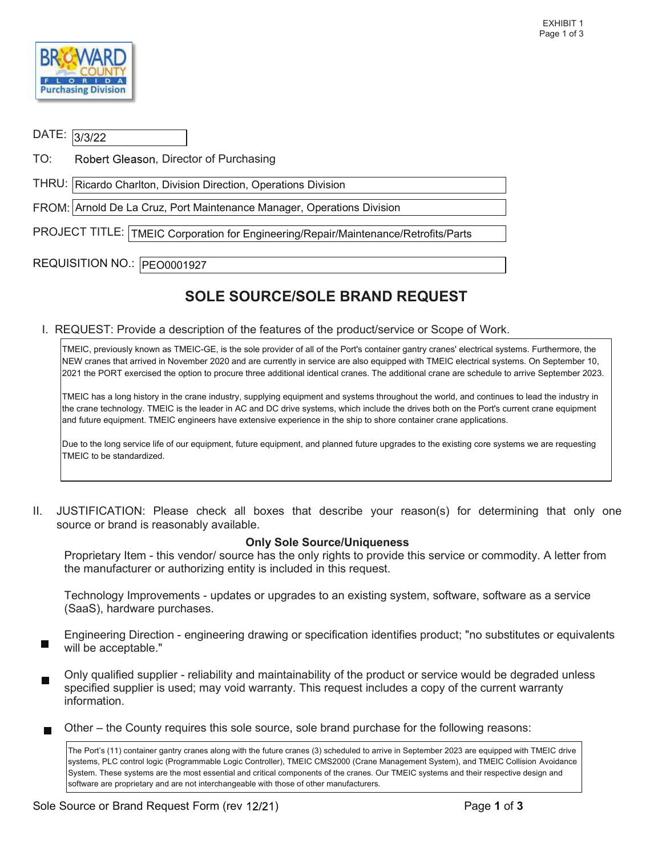

| DATE: 3/3/22                                                                        |                                                                        |  |  |  |
|-------------------------------------------------------------------------------------|------------------------------------------------------------------------|--|--|--|
| TO:                                                                                 | Robert Gleason, Director of Purchasing                                 |  |  |  |
|                                                                                     | THRU:   Ricardo Charlton, Division Direction, Operations Division      |  |  |  |
|                                                                                     | FROM: Arnold De La Cruz, Port Maintenance Manager, Operations Division |  |  |  |
| PROJECT TITLE: TMEIC Corporation for Engineering/Repair/Maintenance/Retrofits/Parts |                                                                        |  |  |  |
|                                                                                     | REQUISITION NO.:  PEO0001927                                           |  |  |  |

## SOLE SOURCE/SOLE BRAND REQUEST

I. REQUEST: Provide a description of the features of the product/service or Scope of Work.

 TMEIC, previously known as TMEIC-GE, is the sole provider of all of the Port's container gantry cranes' electrical systems. Furthermore, the NEW cranes that arrived in November 2020 and are currently in service are also equipped with TMEIC electrical systems. On September 10, 2021 the PORT exercised the option to procure three additional identical cranes. The additional crane are schedule to arrive September 2023.

 TMEIC has a long history in the crane industry, supplying equipment and systems throughout the world, and continues to lead the industry in the crane technology. TMEIC is the leader in AC and DC drive systems, which include the drives both on the Port's current crane equipment and future equipment. TMEIC engineers have extensive experience in the ship to shore container crane applications.

 Due to the long service life of our equipment, future equipment, and planned future upgrades to the existing core systems we are requesting TMEIC to be standardized.

 II. JUSTIFICATION: Please check all boxes that describe your reason(s) for determining that only one source or brand is reasonably available.

## Only Sole Source/Uniqueness

 Proprietary Item - this vendor/ source has the only rights to provide this service or commodity. A letter from the manufacturer or authorizing entity is included in this request.

(SaaS), hardware purchases. Technology Improvements - updates or upgrades to an existing system, software, software as a service

Engineering Direction - engineering drawing or specification identifies product; "no substitutes or equivalents will be acceptable."

 specified supplier is used; may void warranty. This request includes a copy of the current warranty Only qualified supplier - reliability and maintainability of the product or service would be degraded unless information.

Other – the County requires this sole source, sole brand purchase for the following reasons:

 The Port's (11) container gantry cranes along with the future cranes (3) scheduled to arrive in September 2023 are equipped with TMEIC drive System. These systems are the most essential and critical components of the cranes. Our TMEIC systems and their respective design and systems, PLC control logic (Programmable Logic Controller), TMEIC CMS2000 (Crane Management System), and TMEIC Collision Avoidance software are proprietary and are not interchangeable with those of other manufacturers.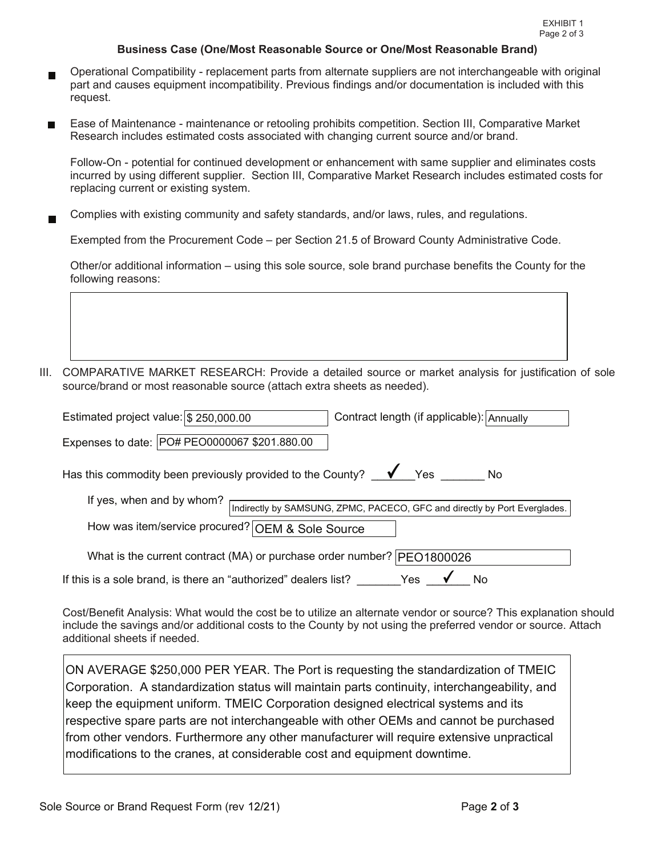## Business Case (One/Most Reasonable Source or One/Most Reasonable Brand)

- Operational Compatibility replacement parts from alternate suppliers are not interchangeable with original part and causes equipment incompatibility. Previous findings and/or documentation is included with this request.
- request.<br>Ease of Maintenance maintenance or retooling prohibits competition. Section III, Comparative Market Research includes estimated costs associated with changing current source and/or brand.

 Follow-On - potential for continued development or enhancement with same supplier and eliminates costs incurred by using different supplier. Section III, Comparative Market Research includes estimated costs for replacing current or existing system.

Complies with existing community and safety standards, and/or laws, rules, and regulations.

Exempted from the Procurement Code – per Section 21.5 of Broward County Administrative Code.

 Other/or additional information – using this sole source, sole brand purchase benefits the County for the following reasons:

III. COMPARATIVE MARKET RESEARCH: Provide a detailed source or market analysis for justification of sole source/brand or most reasonable source (attach extra sheets as needed).

| Estimated project value: $\frac{1}{3}$ 250,000.00                                           | Contract length (if applicable): Annually                                 |  |  |  |
|---------------------------------------------------------------------------------------------|---------------------------------------------------------------------------|--|--|--|
| Expenses to date:   PO# PEO0000067 \$201.880.00                                             |                                                                           |  |  |  |
| Has this commodity been previously provided to the County? $\blacklozenge$ Yes<br><b>No</b> |                                                                           |  |  |  |
| If yes, when and by whom?                                                                   | Indirectly by SAMSUNG, ZPMC, PACECO, GFC and directly by Port Everglades. |  |  |  |
| How was item/service procured? OEM & Sole Source                                            |                                                                           |  |  |  |
| What is the current contract (MA) or purchase order number?   PEO1800026                    |                                                                           |  |  |  |
| If this is a sole brand, is there an "authorized" dealers list?                             | Yes<br>No                                                                 |  |  |  |

 additional sheets if needed. Cost/Benefit Analysis: What would the cost be to utilize an alternate vendor or source? This explanation should include the savings and/or additional costs to the County by not using the preferred vendor or source. Attach

 respective spare parts are not interchangeable with other OEMs and cannot be purchased from other vendors. Furthermore any other manufacturer will require extensive unpractical ON AVERAGE \$250,000 PER YEAR. The Port is requesting the standardization of TMEIC Corporation. A standardization status will maintain parts continuity, interchangeability, and keep the equipment uniform. TMEIC Corporation designed electrical systems and its modifications to the cranes, at considerable cost and equipment downtime.